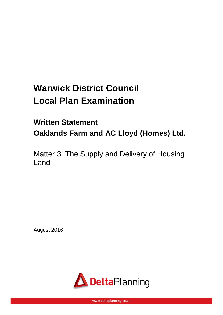# **Warwick District Council Local Plan Examination**

## **Written Statement Oaklands Farm and AC Lloyd (Homes) Ltd.**

Matter 3: The Supply and Delivery of Housing Land

August 2016



www.deltaplanning.co.uk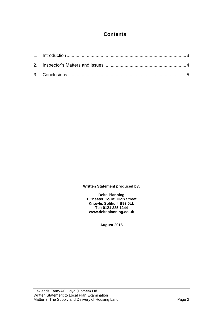#### **Contents**

**Written Statement produced by:**

**Delta Planning 1 Chester Court, High Street Knowle, Solihull, B93 0LL Tel: 0121 285 1244 www.deltaplanning.co.uk**

**August 2016**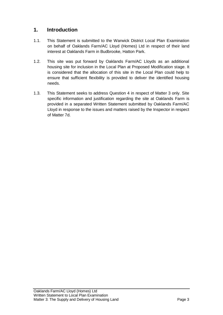#### <span id="page-2-0"></span>**1. Introduction**

- 1.1. This Statement is submitted to the Warwick District Local Plan Examination on behalf of Oaklands Farm/AC Lloyd (Homes) Ltd in respect of their land interest at Oaklands Farm in Budbrooke, Hatton Park.
- 1.2. This site was put forward by Oaklands Farm/AC Lloyds as an additional housing site for inclusion in the Local Plan at Proposed Modification stage. It is considered that the allocation of this site in the Local Plan could help to ensure that sufficient flexibility is provided to deliver the identified housing needs.
- 1.3. This Statement seeks to address Question 4 in respect of Matter 3 only. Site specific information and justification regarding the site at Oaklands Farm is provided in a separated Written Statement submitted by Oaklands Farm/AC Lloyd in response to the issues and matters raised by the Inspector in respect of Matter 7d.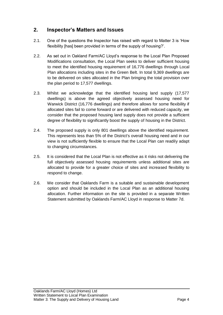#### <span id="page-3-0"></span>**2. Inspector's Matters and Issues**

- 2.1. One of the questions the Inspector has raised with regard to Matter 3 is 'How flexibility [has] been provided in terms of the supply of housing?'.
- 2.2. As set out in Oakland Farm/AC Lloyd's response to the Local Plan Proposed Modifications consultation, the Local Plan seeks to deliver sufficient housing to meet the identified housing requirement of 16,776 dwellings through Local Plan allocations including sites in the Green Belt. In total 9,369 dwellings are to be delivered on sites allocated in the Plan bringing the total provision over the plan period to 17,577 dwellings.
- 2.3. Whilst we acknowledge that the identified housing land supply (17,577 dwellings) is above the agreed objectively assessed housing need for Warwick District (16,776 dwellings) and therefore allows for some flexibility if allocated sites fail to come forward or are delivered with reduced capacity, we consider that the proposed housing land supply does not provide a sufficient degree of flexibility to significantly boost the supply of housing in the District.
- 2.4. The proposed supply is only 801 dwellings above the identified requirement. This represents less than 5% of the District's overall housing need and in our view is not sufficiently flexible to ensure that the Local Plan can readily adapt to changing circumstances.
- 2.5. It is considered that the Local Plan is not effective as it risks not delivering the full objectively assessed housing requirements unless additional sites are allocated to provide for a greater choice of sites and increased flexibility to respond to change.
- 2.6. We consider that Oaklands Farm is a suitable and sustainable development option and should be included in the Local Plan as an additional housing allocation. Further information on the site is provided in a separate Written Statement submitted by Oaklands Farm/AC Lloyd in response to Matter 7d.